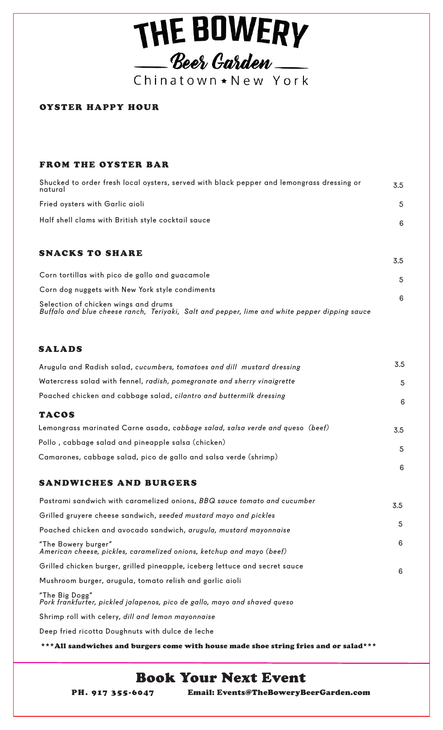# THE BOWERY Beer Garden

Chinatown \* New York

#### OYSTER HAPPY HOUR

#### FROM THE OYSTER BAR

| Shucked to order fresh local oysters, served with black pepper and lemongrass dressing or<br>natural | 3.5 |
|------------------------------------------------------------------------------------------------------|-----|
| Fried oysters with Garlic aioli                                                                      | .5  |
| Half shell clams with British style cocktail sauce                                                   | 6   |

#### SNACKS TO SHARE

Corn tortillas with pico de gallo and guacamole Corn dog nuggets with New York style condiments Selection of chicken wings and drums *Buffalo and blue cheese ranch, Teriyaki, Salt and pepper, lime and white pepper dipping sauce* 5 6

3.5

#### SALADS

| Arugula and Radish salad, cucumbers, tomatoes and dill mustard dressing                      |     |  |  |  |
|----------------------------------------------------------------------------------------------|-----|--|--|--|
| Watercress salad with fennel, radish, pomegranate and sherry vinaigrette                     | 5   |  |  |  |
| Poached chicken and cabbage salad, cilantro and buttermilk dressing                          | 6   |  |  |  |
| <b>TACOS</b>                                                                                 |     |  |  |  |
| Lemongrass marinated Carne asada, cabbage salad, salsa verde and queso (beef)                | 3.5 |  |  |  |
| Pollo, cabbage salad and pineapple salsa (chicken)                                           | 5   |  |  |  |
| Camarones, cabbage salad, pico de gallo and salsa verde (shrimp)                             |     |  |  |  |
|                                                                                              | 6   |  |  |  |
| <b>SANDWICHES AND BURGERS</b>                                                                |     |  |  |  |
| Pastrami sandwich with caramelized onions, BBQ sauce tomato and cucumber                     | 3.5 |  |  |  |
| Grilled gruyere cheese sandwich, seeded mustard mayo and pickles                             |     |  |  |  |
| Poached chicken and avocado sandwich, arugula, mustard mayonnaise                            | 5   |  |  |  |
| "The Bowery burger"<br>American cheese, pickles, caramelized onions, ketchup and mayo (beef) | 6   |  |  |  |
| Grilled chicken burger, grilled pineapple, iceberg lettuce and secret sauce                  | 6   |  |  |  |
| Mushroom burger, arugula, tomato relish and garlic aioli                                     |     |  |  |  |
| "The Big Dogg"<br>Pork frankfurter, pickled jalapenos, pico de gallo, mayo and shaved queso  |     |  |  |  |
| Shrimp roll with celery, dill and lemon mayonnaise                                           |     |  |  |  |
| Deep fried ricotta Doughnuts with dulce de leche                                             |     |  |  |  |
| *** All sandwiches and burgers come with house made shoe string fries and or salad***        |     |  |  |  |

### Book Your Next Event

PH. 917 355-6047 Email: Events@TheBoweryBeerGarden.com